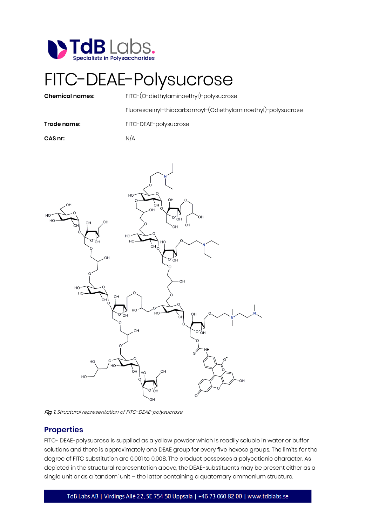

## FITC-DEAE-Polysucrose

**Chemical names:** FITC-(O-diethylaminoethyl)-polysucrose

Fluoresceinyl-thiocarbamoyl-(Odiethylaminoethyl)-polysucrose

**Trade name:** FITC-DEAE-polysucrose

**CAS nr:** N/A



Fig. 1. Structural representation of FITC-DEAE-polysucrose

## **Properties**

FITC- DEAE-polysucrose is supplied as a yellow powder which is readily soluble in water or buffer solutions and there is approximately one DEAE group for every five hexose groups. The limits for the degree of FITC substitution are 0.001 to 0.008. The product possesses a polycationic character. As depicted in the structural representation above, the DEAE-substituents may be present either as a single unit or as a 'tandem' unit – the latter containing a quaternary ammonium structure.